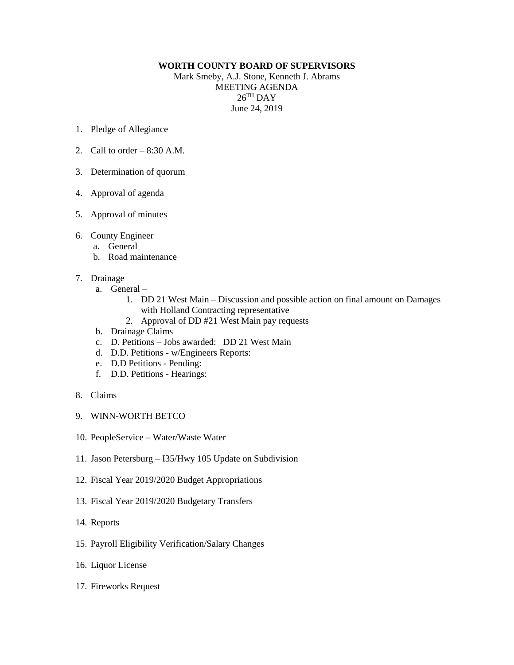## **WORTH COUNTY BOARD OF SUPERVISORS**

Mark Smeby, A.J. Stone, Kenneth J. Abrams MEETING AGENDA  $26^{\mathrm{TH}}$  DAY June 24, 2019

- 1. Pledge of Allegiance
- 2. Call to order  $-8:30$  A.M.
- 3. Determination of quorum
- 4. Approval of agenda
- 5. Approval of minutes
- 6. County Engineer
	- a. General
	- b. Road maintenance
- 7. Drainage
	- a. General
		- 1. DD 21 West Main Discussion and possible action on final amount on Damages with Holland Contracting representative
		- 2. Approval of DD #21 West Main pay requests
	- b. Drainage Claims
	- c. D. Petitions Jobs awarded: DD 21 West Main
	- d. D.D. Petitions w/Engineers Reports:
	- e. D.D Petitions Pending:
	- f. D.D. Petitions Hearings:
- 8. Claims
- 9. WINN-WORTH BETCO
- 10. PeopleService Water/Waste Water
- 11. Jason Petersburg I35/Hwy 105 Update on Subdivision
- 12. Fiscal Year 2019/2020 Budget Appropriations
- 13. Fiscal Year 2019/2020 Budgetary Transfers
- 14. Reports
- 15. Payroll Eligibility Verification/Salary Changes
- 16. Liquor License
- 17. Fireworks Request